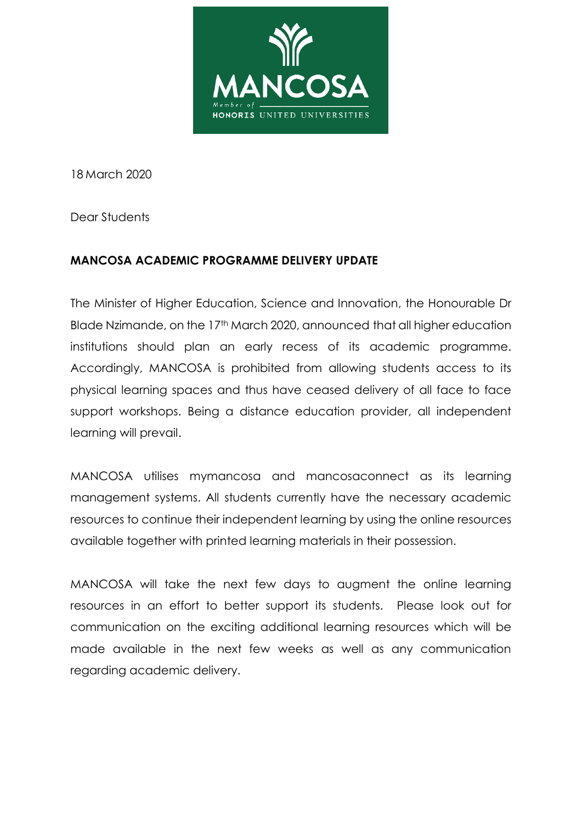

18 March 2020

Dear Students

## **MANCOSA ACADEMIC PROGRAMME DELIVERY UPDATE**

The Minister of Higher Education, Science and Innovation, the Honourable Dr Blade Nzimande, on the 17<sup>th</sup> March 2020, announced that all higher education institutions should plan an early recess of its academic programme. Accordingly, MANCOSA is prohibited from allowing students access to its physical learning spaces and thus have ceased delivery of all face to face support workshops. Being a distance education provider, all independent learning will prevail.

MANCOSA utilises mymancosa and mancosaconnect as its learning management systems. All students currently have the necessary academic resources to continue their independent learning by using the online resources available together with printed learning materials in their possession.

MANCOSA will take the next few days to augment the online learning resources in an effort to better support its students. Please look out for communication on the exciting additional learning resources which will be made available in the next few weeks as well as any communication regarding academic delivery.